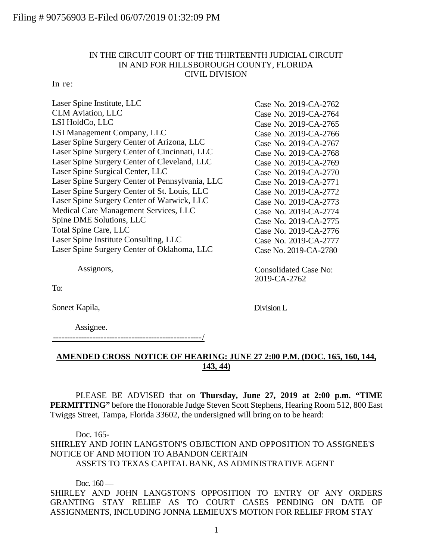## IN THE CIRCUIT COURT OF THE THIRTEENTH JUDICIAL CIRCUIT IN AND FOR HILLSBOROUGH COUNTY, FLORIDA CIVIL DIVISION

## In re:

| Laser Spine Institute, LLC                      | Case No. 2019-CA-2762 |
|-------------------------------------------------|-----------------------|
| <b>CLM</b> Aviation, LLC                        | Case No. 2019-CA-2764 |
| LSI HoldCo, LLC                                 | Case No. 2019-CA-2765 |
| LSI Management Company, LLC                     | Case No. 2019-CA-2766 |
| Laser Spine Surgery Center of Arizona, LLC      | Case No. 2019-CA-2767 |
| Laser Spine Surgery Center of Cincinnati, LLC   | Case No. 2019-CA-2768 |
| Laser Spine Surgery Center of Cleveland, LLC    | Case No. 2019-CA-2769 |
| Laser Spine Surgical Center, LLC                | Case No. 2019-CA-2770 |
| Laser Spine Surgery Center of Pennsylvania, LLC | Case No. 2019-CA-2771 |
| Laser Spine Surgery Center of St. Louis, LLC    | Case No. 2019-CA-2772 |
| Laser Spine Surgery Center of Warwick, LLC      | Case No. 2019-CA-2773 |
| Medical Care Management Services, LLC           | Case No. 2019-CA-2774 |
| Spine DME Solutions, LLC                        | Case No. 2019-CA-2775 |
| Total Spine Care, LLC                           | Case No. 2019-CA-2776 |
| Laser Spine Institute Consulting, LLC           | Case No. 2019-CA-2777 |
| Laser Spine Surgery Center of Oklahoma, LLC     | Case No. 2019-CA-2780 |
|                                                 |                       |

Assignors,

To:

Soneet Kapila,

Assignee.

-----------------------------------------------------/

## **AMENDED CROSS NOTICE OF HEARING: JUNE 27 2:00 P.M. (DOC. 165, 160, 144, 143, 44)**

Consolidated Case No:

2019-CA-2762

Division L

PLEASE BE ADVISED that on **Thursday, June 27, 2019 at 2:00 p.m. "TIME PERMITTING"** before the Honorable Judge Steven Scott Stephens, Hearing Room 512, 800 East Twiggs Street, Tampa, Florida 33602, the undersigned will bring on to be heard:

Doc. 165- SHIRLEY AND JOHN LANGSTON'S OBJECTION AND OPPOSITION TO ASSIGNEE'S NOTICE OF AND MOTION TO ABANDON CERTAIN ASSETS TO TEXAS CAPITAL BANK, AS ADMINISTRATIVE AGENT

Doc.  $160 -$ SHIRLEY AND JOHN LANGSTON'S OPPOSITION TO ENTRY OF ANY ORDERS GRANTING STAY RELIEF AS TO COURT CASES PENDING ON DATE OF ASSIGNMENTS, INCLUDING JONNA LEMIEUX'S MOTION FOR RELIEF FROM STAY